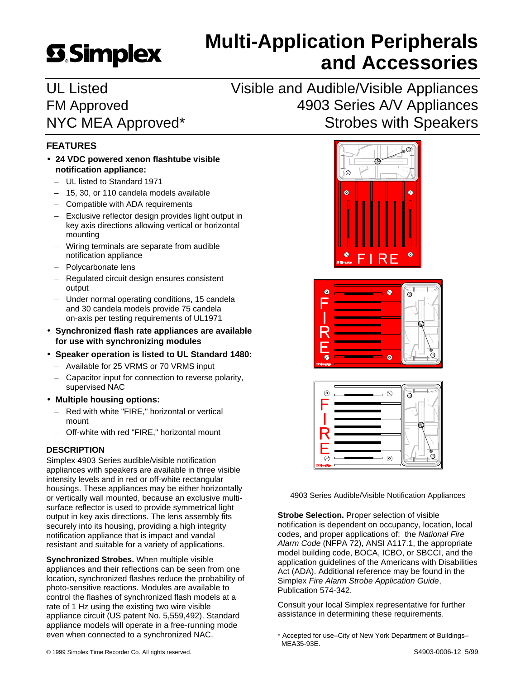# **SSimplex**

# **Multi-Application Peripherals and Accessories**

UL Listed Visible and Audible/Visible Appliances FM Approved **4903 Series A/V Appliances** NYC MEA Approved\* Strobes with Speakers

# **FEATURES**

- **24 VDC powered xenon flashtube visible notification appliance:**
	- UL listed to Standard 1971
	- 15, 30, or 110 candela models available
	- Compatible with ADA requirements
	- Exclusive reflector design provides light output in key axis directions allowing vertical or horizontal mounting
	- Wiring terminals are separate from audible notification appliance
	- Polycarbonate lens
	- Regulated circuit design ensures consistent output
	- Under normal operating conditions, 15 candela and 30 candela models provide 75 candela on-axis per testing requirements of UL1971
- **Synchronized flash rate appliances are available for use with synchronizing modules**
- **Speaker operation is listed to UL Standard 1480:**
	- Available for 25 VRMS or 70 VRMS input
	- Capacitor input for connection to reverse polarity, supervised NAC
- **Multiple housing options:**
	- Red with white "FIRE," horizontal or vertical mount
	- Off-white with red "FIRE," horizontal mount

# **DESCRIPTION**

Simplex 4903 Series audible/visible notification appliances with speakers are available in three visible intensity levels and in red or off-white rectangular housings. These appliances may be either horizontally or vertically wall mounted, because an exclusive multisurface reflector is used to provide symmetrical light output in key axis directions. The lens assembly fits securely into its housing, providing a high integrity notification appliance that is impact and vandal resistant and suitable for a variety of applications.

**Synchronized Strobes.** When multiple visible appliances and their reflections can be seen from one location, synchronized flashes reduce the probability of photo-sensitive reactions. Modules are available to control the flashes of synchronized flash models at a rate of 1 Hz using the existing two wire visible appliance circuit (US patent No. 5,559,492). Standard appliance models will operate in a free-running mode even when connected to a synchronized NAC.







4903 Series Audible/Visible Notification Appliances

**Strobe Selection.** Proper selection of visible notification is dependent on occupancy, location, local codes, and proper applications of: the *National Fire Alarm Code* (NFPA 72), ANSI A117.1, the appropriate model building code, BOCA, ICBO, or SBCCI, and the application guidelines of the Americans with Disabilities Act (ADA). Additional reference may be found in the Simplex *Fire Alarm Strobe Application Guide*, Publication 574-342.

Consult your local Simplex representative for further assistance in determining these requirements.

\* Accepted for use–City of New York Department of Buildings– MEA35-93E.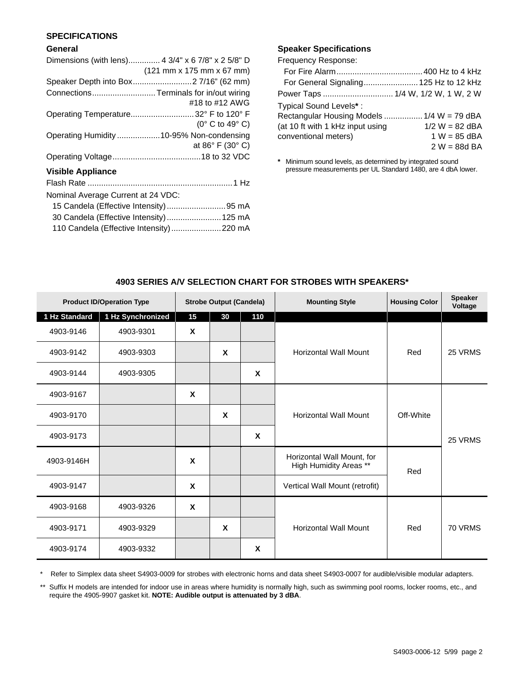# **SPECIFICATIONS**

#### **General**

# **Speaker Specifications**

Frequency Response:

| Rectangular Housing Models  1/4 W = 79 dBA |
|--------------------------------------------|
| $1/2 W = 82$ dBA                           |
| $1 W = 85$ dBA                             |
| $2 W = 88d BA$                             |
|                                            |

**\*** Minimum sound levels, as determined by integrated sound pressure measurements per UL Standard 1480, are 4 dbA lower.

|               | <b>Product ID/Operation Type</b> |             | <b>Strobe Output (Candela)</b> |                  | <b>Mounting Style</b>                                       | <b>Housing Color</b> | <b>Speaker</b><br>Voltage |
|---------------|----------------------------------|-------------|--------------------------------|------------------|-------------------------------------------------------------|----------------------|---------------------------|
| 1 Hz Standard | 1 Hz Synchronized                | 15          | 30                             | 110              |                                                             |                      |                           |
| 4903-9146     | 4903-9301                        | X           |                                |                  |                                                             |                      |                           |
| 4903-9142     | 4903-9303                        |             | $\boldsymbol{\mathsf{X}}$      |                  | <b>Horizontal Wall Mount</b>                                | Red                  | 25 VRMS                   |
| 4903-9144     | 4903-9305                        |             |                                | $\mathbf x$      |                                                             |                      |                           |
| 4903-9167     |                                  | $\mathbf x$ |                                |                  |                                                             |                      |                           |
| 4903-9170     |                                  |             | X                              |                  | <b>Horizontal Wall Mount</b>                                | Off-White            |                           |
| 4903-9173     |                                  |             |                                | $\boldsymbol{x}$ |                                                             |                      | 25 VRMS                   |
| 4903-9146H    |                                  | $\mathbf x$ |                                |                  | Horizontal Wall Mount, for<br>High Humidity Areas **<br>Red |                      |                           |
| 4903-9147     |                                  | $\mathbf x$ |                                |                  | Vertical Wall Mount (retrofit)                              |                      |                           |
| 4903-9168     | 4903-9326                        | X           |                                |                  |                                                             |                      |                           |
| 4903-9171     | 4903-9329                        |             | X                              |                  | <b>Horizontal Wall Mount</b>                                | Red                  | 70 VRMS                   |
| 4903-9174     | 4903-9332                        |             |                                | X                |                                                             |                      |                           |

# **4903 SERIES A/V SELECTION CHART FOR STROBES WITH SPEAKERS\***

\* Refer to Simplex data sheet S4903-0009 for strobes with electronic horns and data sheet S4903-0007 for audible/visible modular adapters.

\*\* Suffix H models are intended for indoor use in areas where humidity is normally high, such as swimming pool rooms, locker rooms, etc., and require the 4905-9907 gasket kit. **NOTE: Audible output is attenuated by 3 dBA**.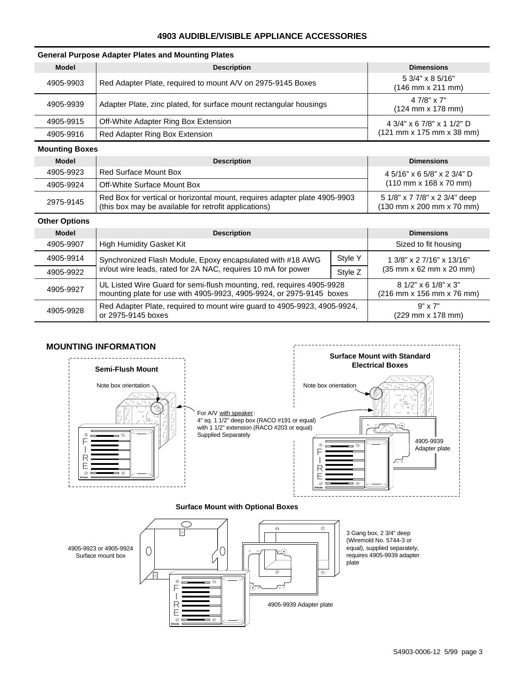### **4903 AUDIBLE/VISIBLE APPLIANCE ACCESSORIES**

#### **General Purpose Adapter Plates and Mounting Plates**

| <b>Model</b> | <b>Description</b>                                                 | <b>Dimensions</b>                                                 |
|--------------|--------------------------------------------------------------------|-------------------------------------------------------------------|
| 4905-9903    | Red Adapter Plate, required to mount A/V on 2975-9145 Boxes        | $5.3/4$ " x 8.5/16"<br>$(146$ mm x 211 mm)                        |
| 4905-9939    | Adapter Plate, zinc plated, for surface mount rectangular housings | $47/8" \times 7"$<br>$(124 \, \text{mm} \times 178 \, \text{mm})$ |
| 4905-9915    | Off-White Adapter Ring Box Extension                               | 4 3/4" x 6 7/8" x 1 1/2" D                                        |
| 4905-9916    | Red Adapter Ring Box Extension                                     | (121 mm x 175 mm x 38 mm)                                         |

#### **Mounting Boxes**

| <b>Model</b> | <b>Description</b>                                                                                                                  | <b>Dimensions</b>                                                                              |
|--------------|-------------------------------------------------------------------------------------------------------------------------------------|------------------------------------------------------------------------------------------------|
| 4905-9923    | <b>Red Surface Mount Box</b>                                                                                                        | 4 5/16" x 6 5/8" x 2 3/4" D                                                                    |
| 4905-9924    | Off-White Surface Mount Box                                                                                                         | $(110 \text{ mm} \times 168 \times 70 \text{ mm})$                                             |
| 2975-9145    | Red Box for vertical or horizontal mount, requires adapter plate 4905-9903<br>(this box may be available for retrofit applications) | 5 1/8" x 7 7/8" x 2 3/4" deep<br>$(130 \text{ mm} \times 200 \text{ mm} \times 70 \text{ mm})$ |

#### **Other Options**

| <b>Model</b> | <b>Description</b>                                                                                                                            | <b>Dimensions</b>                                    |                                                                   |
|--------------|-----------------------------------------------------------------------------------------------------------------------------------------------|------------------------------------------------------|-------------------------------------------------------------------|
| 4905-9907    | High Humidity Gasket Kit                                                                                                                      | Sized to fit housing                                 |                                                                   |
| 4905-9914    | Synchronized Flash Module, Epoxy encapsulated with #18 AWG                                                                                    | Style Y                                              | 1 3/8" x 2 7/16" x 13/16"                                         |
| 4905-9922    | in/out wire leads, rated for 2A NAC, requires 10 mA for power                                                                                 | Style Z                                              | $(35 \, \text{mm} \times 62 \, \text{mm} \times 20 \, \text{mm})$ |
| 4905-9927    | UL Listed Wire Guard for semi-flush mounting, red, requires 4905-9928<br>mounting plate for use with 4905-9923, 4905-9924, or 2975-9145 boxes | $81/2"$ x 6 $1/8"$ x 3"<br>(216 mm x 156 mm x 76 mm) |                                                                   |
| 4905-9928    | Red Adapter Plate, required to mount wire guard to 4905-9923, 4905-9924,<br>or 2975-9145 boxes                                                | $9" \times 7"$<br>(229 mm x 178 mm)                  |                                                                   |





#### **Surface Mount with Optional Boxes**